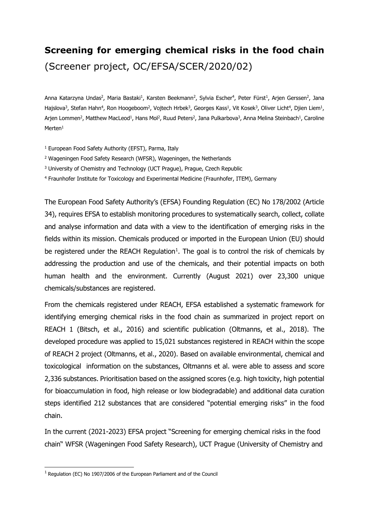## **Screening for emerging chemical risks in the food chain** (Screener project, OC/EFSA/SCER/2020/02)

Anna Katarzyna Undas<sup>2</sup>, Maria Bastaki<sup>1</sup>, Karsten Beekmann<sup>2</sup>, Sylvia Escher<sup>4</sup>, Peter Fürst<sup>1</sup>, Arjen Gerssen<sup>2</sup>, Jana Hajslova<sup>3</sup>, Stefan Hahn<sup>4</sup>, Ron Hoogeboom<sup>2</sup>, Vojtech Hrbek<sup>3</sup>, Georges Kass<sup>1</sup>, Vit Kosek<sup>3</sup>, Oliver Licht<sup>4</sup>, Djien Liem<sup>1</sup>, Arjen Lommen<sup>2</sup>, Matthew MacLeod<sup>1</sup>, Hans Mol<sup>2</sup>, Ruud Peters<sup>2</sup>, Jana Pulkarbova<sup>3</sup>, Anna Melina Steinbach<sup>1</sup>, Caroline Merten<sup>1</sup>

- <sup>1</sup> European Food Safety Authority (EFST), Parma, Italy
- <sup>2</sup> Wageningen Food Safety Research (WFSR), Wageningen, the Netherlands
- <sup>3</sup> University of Chemistry and Technology (UCT Prague), Prague, Czech Republic
- <sup>4</sup> Fraunhofer Institute for Toxicology and Experimental Medicine (Fraunhofer, ITEM), Germany

The European Food Safety Authority's (EFSA) Founding Regulation (EC) No 178/2002 (Article 34), requires EFSA to establish monitoring procedures to systematically search, collect, collate and analyse information and data with a view to the identification of emerging risks in the fields within its mission. Chemicals produced or imported in the European Union (EU) should be registered under the REACH Regulation<sup>1</sup>. The goal is to control the risk of chemicals by addressing the production and use of the chemicals, and their potential impacts on both human health and the environment. Currently (August 2021) over 23,300 unique chemicals/substances are registered.

From the chemicals registered under REACH, EFSA established a systematic framework for identifying emerging chemical risks in the food chain as summarized in project report on REACH 1 (Bitsch, et al., 2016) and scientific publication (Oltmanns, et al., 2018). The developed procedure was applied to 15,021 substances registered in REACH within the scope of REACH 2 project (Oltmanns, et al., 2020). Based on available environmental, chemical and toxicological information on the substances, Oltmanns et al. were able to assess and score 2,336 substances. Prioritisation based on the assigned scores (e.g. high toxicity, high potential for bioaccumulation in food, high release or low biodegradable) and additional data curation steps identified 212 substances that are considered "potential emerging risks" in the food chain.

In the current (2021-2023) EFSA project "Screening for emerging chemical risks in the food chain" WFSR (Wageningen Food Safety Research), UCT Prague (University of Chemistry and

-

<span id="page-0-0"></span><sup>1</sup> Regulation (EC) No 1907/2006 of the European Parliament and of the Council